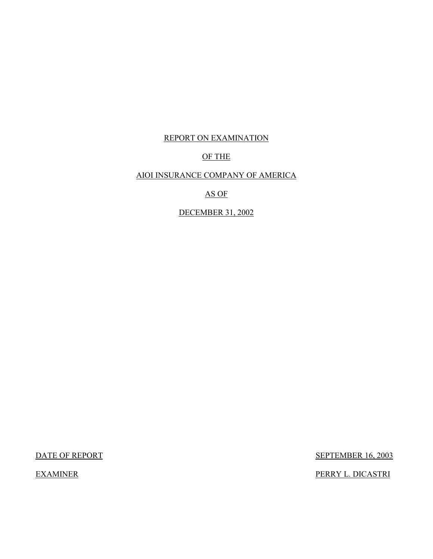## REPORT ON EXAMINATION

## OF THE

## AIOI INSURANCE COMPANY OF AMERICA

## AS OF

DECEMBER 31, 2002

DATE OF REPORT SEPTEMBER 16, 2003

EXAMINER PERRY L. DICASTRI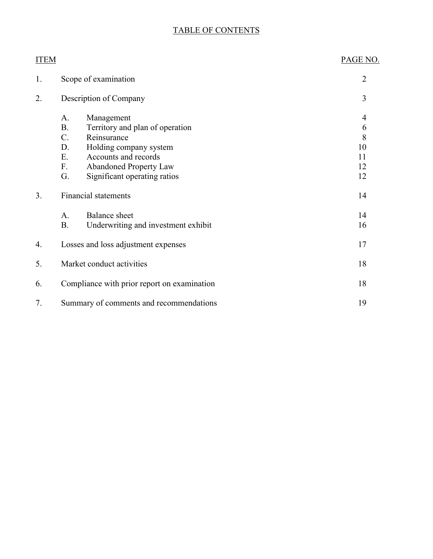# TABLE OF CONTENTS

| <b>ITEM</b>    |                                                                                                                                                                                                                                     | PAGE NO.                            |
|----------------|-------------------------------------------------------------------------------------------------------------------------------------------------------------------------------------------------------------------------------------|-------------------------------------|
| 1.             | Scope of examination                                                                                                                                                                                                                | $\overline{2}$                      |
| 2.             | Description of Company                                                                                                                                                                                                              | 3                                   |
|                | Management<br>A.<br><b>B.</b><br>Territory and plan of operation<br>Reinsurance<br>$C$ .<br>Holding company system<br>D.<br>Accounts and records<br>Ε.<br>F.<br><b>Abandoned Property Law</b><br>Significant operating ratios<br>G. | 4<br>6<br>8<br>10<br>11<br>12<br>12 |
| 3 <sub>1</sub> | <b>Financial statements</b>                                                                                                                                                                                                         | 14                                  |
|                | <b>Balance</b> sheet<br>A.<br><b>B.</b><br>Underwriting and investment exhibit                                                                                                                                                      | 14<br>16                            |
| 4.             | Losses and loss adjustment expenses                                                                                                                                                                                                 | 17                                  |
| 5.             | Market conduct activities                                                                                                                                                                                                           | 18                                  |
| 6.             | Compliance with prior report on examination                                                                                                                                                                                         | 18                                  |
| 7.             | Summary of comments and recommendations                                                                                                                                                                                             | 19                                  |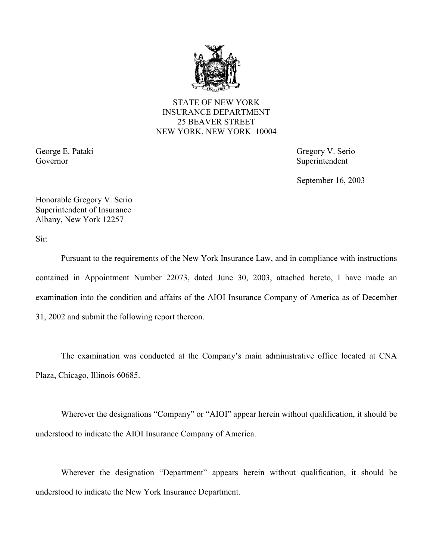

STATE OF NEW YORK INSURANCE DEPARTMENT 25 BEAVER STREET NEW YORK, NEW YORK 10004

Governor Superintendent

George E. Pataki Gregory V. Serio

September 16, 2003

Honorable Gregory V. Serio Superintendent of Insurance Albany, New York 12257

Sir:

 Pursuant to the requirements of the New York Insurance Law, and in compliance with instructions contained in Appointment Number 22073, dated June 30, 2003, attached hereto, I have made an examination into the condition and affairs of the AIOI Insurance Company of America as of December 31, 2002 and submit the following report thereon.

The examination was conducted at the Company's main administrative office located at CNA Plaza, Chicago, Illinois 60685.

Wherever the designations "Company" or "AIOI" appear herein without qualification, it should be understood to indicate the AIOI Insurance Company of America.

Wherever the designation "Department" appears herein without qualification, it should be understood to indicate the New York Insurance Department.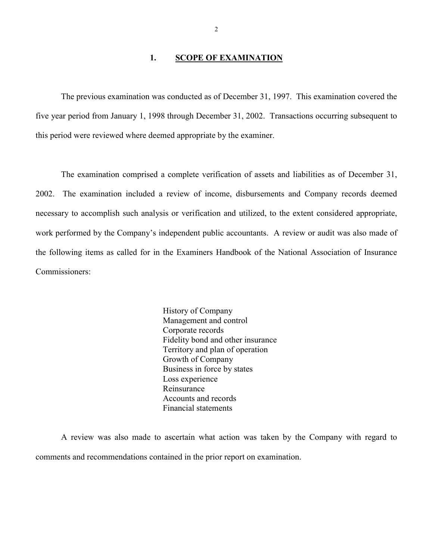## 1. SCOPE OF EXAMINATION

<span id="page-3-0"></span>The previous examination was conducted as of December 31, 1997. This examination covered the five year period from January 1, 1998 through December 31, 2002. Transactions occurring subsequent to this period were reviewed where deemed appropriate by the examiner.

 The examination comprised a complete verification of assets and liabilities as of December 31, necessary to accomplish such analysis or verification and utilized, to the extent considered appropriate, 2002. The examination included a review of income, disbursements and Company records deemed work performed by the Company's independent public accountants. A review or audit was also made of the following items as called for in the Examiners Handbook of the National Association of Insurance Commissioners:

> History of Company Management and control Corporate records Fidelity bond and other insurance Territory and plan of operation Growth of Company Business in force by states Loss experience Reinsurance Accounts and records Financial statements

A review was also made to ascertain what action was taken by the Company with regard to comments and recommendations contained in the prior report on examination.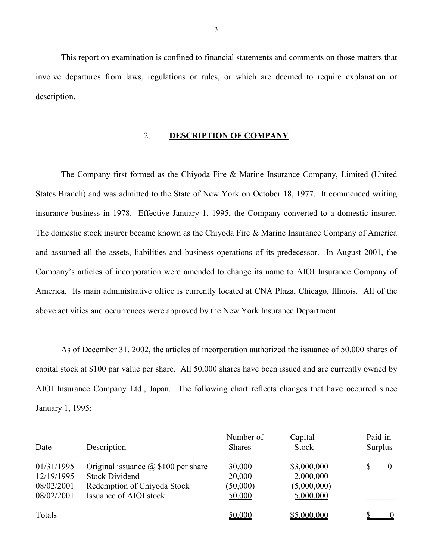This report on examination is confined to financial statements and comments on those matters that involve departures from laws, regulations or rules, or which are deemed to require explanation or description.

## 2. **DESCRIPTION OF COMPANY**

 The Company first formed as the Chiyoda Fire & Marine Insurance Company, Limited (United America. Its main administrative office is currently located at CNA Plaza, Chicago, Illinois. All of the States Branch) and was admitted to the State of New York on October 18, 1977. It commenced writing insurance business in 1978. Effective January 1, 1995, the Company converted to a domestic insurer. The domestic stock insurer became known as the Chiyoda Fire & Marine Insurance Company of America and assumed all the assets, liabilities and business operations of its predecessor. In August 2001, the Company's articles of incorporation were amended to change its name to AIOI Insurance Company of above activities and occurrences were approved by the New York Insurance Department.

As of December 31, 2002, the articles of incorporation authorized the issuance of 50,000 shares of capital stock at \$100 par value per share. All 50,000 shares have been issued and are currently owned by AIOI Insurance Company Ltd., Japan. The following chart reflects changes that have occurred since January 1, 1995:

| Date                                                 | Description                                                                                                                  | Number of<br><b>Shares</b>             | Capital<br><b>Stock</b>                              | Paid-in<br><b>Surplus</b> |
|------------------------------------------------------|------------------------------------------------------------------------------------------------------------------------------|----------------------------------------|------------------------------------------------------|---------------------------|
| 01/31/1995<br>12/19/1995<br>08/02/2001<br>08/02/2001 | Original issuance $\omega$ \$100 per share<br><b>Stock Dividend</b><br>Redemption of Chiyoda Stock<br>Issuance of AIOI stock | 30,000<br>20,000<br>(50,000)<br>50,000 | \$3,000,000<br>2,000,000<br>(5,000,000)<br>5,000,000 | $\theta$                  |
| Totals                                               |                                                                                                                              | 50,000                                 | \$5,000,000                                          |                           |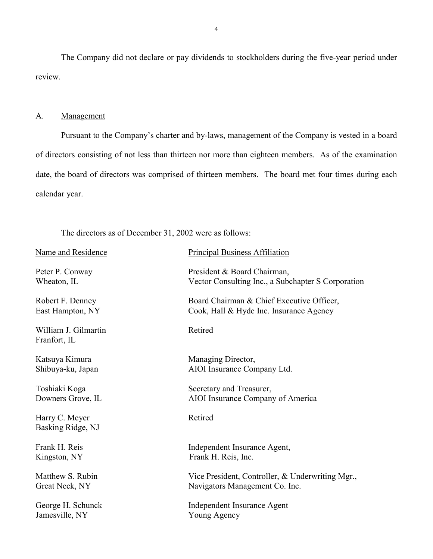<span id="page-5-0"></span>The Company did not declare or pay dividends to stockholders during the five-year period under review.

#### A. Management

 Pursuant to the Company's charter and by-laws, management of the Company is vested in a board of directors consisting of not less than thirteen nor more than eighteen members. As of the examination date, the board of directors was comprised of thirteen members. The board met four times during each calendar year.

The directors as of December 31, 2002 were as follows:

| Name and Residence                   | <b>Principal Business Affiliation</b>              |
|--------------------------------------|----------------------------------------------------|
| Peter P. Conway                      | President & Board Chairman,                        |
| Wheaton, IL                          | Vector Consulting Inc., a Subchapter S Corporation |
| Robert F. Denney                     | Board Chairman & Chief Executive Officer,          |
| East Hampton, NY                     | Cook, Hall & Hyde Inc. Insurance Agency            |
| William J. Gilmartin<br>Franfort, IL | Retired                                            |
| Katsuya Kimura                       | Managing Director,                                 |
| Shibuya-ku, Japan                    | AIOI Insurance Company Ltd.                        |
| Toshiaki Koga                        | Secretary and Treasurer,                           |
| Downers Grove, IL                    | AIOI Insurance Company of America                  |
| Harry C. Meyer<br>Basking Ridge, NJ  | Retired                                            |
| Frank H. Reis                        | Independent Insurance Agent,                       |
| Kingston, NY                         | Frank H. Reis, Inc.                                |
| Matthew S. Rubin                     | Vice President, Controller, & Underwriting Mgr.,   |
| Great Neck, NY                       | Navigators Management Co. Inc.                     |
| George H. Schunck                    | Independent Insurance Agent                        |
| Jamesville, NY                       | Young Agency                                       |
|                                      |                                                    |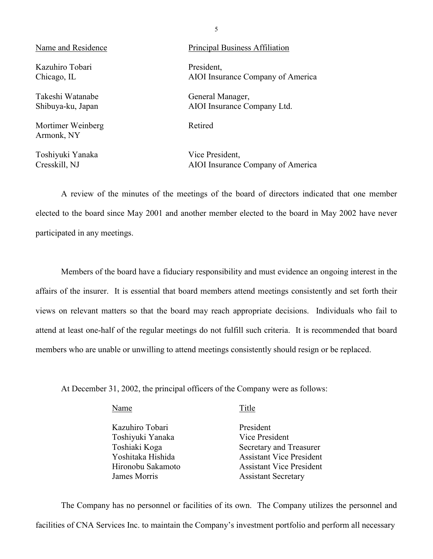Name and Residence Principal Business Affiliation Kazuhiro Tobari President Takeshi Watanabe General Manager,

Mortimer Weinberg Retired Armonk, NY

Toshiyuki Yanaka Vice President,

Chicago, IL AIOI Insurance Company of America

Shibuya-ku, Japan AIOI Insurance Company Ltd.

Cresskill, NJ AIOI Insurance Company of America

A review of the minutes of the meetings of the board of directors indicated that one member elected to the board since May 2001 and another member elected to the board in May 2002 have never participated in any meetings.

 affairs of the insurer. It is essential that board members attend meetings consistently and set forth their attend at least one-half of the regular meetings do not fulfill such criteria. It is recommended that board members who are unable or unwilling to attend meetings consistently should resign or be replaced. Members of the board have a fiduciary responsibility and must evidence an ongoing interest in the views on relevant matters so that the board may reach appropriate decisions. Individuals who fail to

At December 31, 2002, the principal officers of the Company were as follows:

| Title                           |
|---------------------------------|
| President                       |
| Vice President                  |
| Secretary and Treasurer         |
| <b>Assistant Vice President</b> |
| <b>Assistant Vice President</b> |
| <b>Assistant Secretary</b>      |
|                                 |

The Company has no personnel or facilities of its own. The Company utilizes the personnel and facilities of CNA Services Inc. to maintain the Company's investment portfolio and perform all necessary

5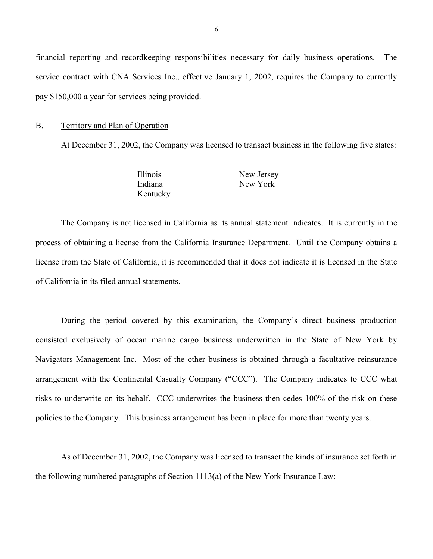<span id="page-7-0"></span>financial reporting and recordkeeping responsibilities necessary for daily business operations. The service contract with CNA Services Inc., effective January 1, 2002, requires the Company to currently pay \$150,000 a year for services being provided.

#### B. Territory and Plan of Operation

At December 31, 2002, the Company was licensed to transact business in the following five states:

| Illinois | New Jersey |
|----------|------------|
| Indiana  | New York   |
| Kentucky |            |

 process of obtaining a license from the California Insurance Department. Until the Company obtains a license from the State of California, it is recommended that it does not indicate it is licensed in the State The Company is not licensed in California as its annual statement indicates. It is currently in the of California in its filed annual statements.

 arrangement with the Continental Casualty Company ("CCC"). The Company indicates to CCC what risks to underwrite on its behalf. CCC underwrites the business then cedes 100% of the risk on these During the period covered by this examination, the Company's direct business production consisted exclusively of ocean marine cargo business underwritten in the State of New York by Navigators Management Inc. Most of the other business is obtained through a facultative reinsurance policies to the Company. This business arrangement has been in place for more than twenty years.

As of December 31, 2002, the Company was licensed to transact the kinds of insurance set forth in the following numbered paragraphs of Section 1113(a) of the New York Insurance Law: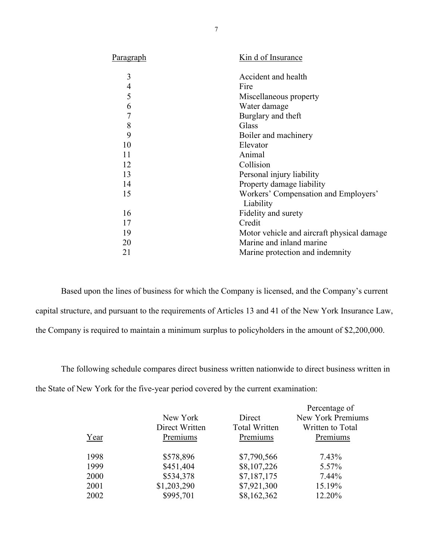| Paragraph      | Kin d of Insurance                                |
|----------------|---------------------------------------------------|
| 3              | Accident and health                               |
| $\overline{4}$ | Fire                                              |
| 5              | Miscellaneous property                            |
| 6              | Water damage                                      |
| $\overline{7}$ | Burglary and theft                                |
| 8              | Glass                                             |
| 9              | Boiler and machinery                              |
| 10             | Elevator                                          |
| 11             | Animal                                            |
| 12             | Collision                                         |
| 13             | Personal injury liability                         |
| 14             | Property damage liability                         |
| 15             | Workers' Compensation and Employers'<br>Liability |
| 16             | Fidelity and surety                               |
| 17             | Credit                                            |
| 19             | Motor vehicle and aircraft physical damage        |
| 20             | Marine and inland marine                          |
| 21             | Marine protection and indemnity                   |
|                |                                                   |

Based upon the lines of business for which the Company is licensed, and the Company's current capital structure, and pursuant to the requirements of Articles 13 and 41 of the New York Insurance Law, the Company is required to maintain a minimum surplus to policyholders in the amount of \$2,200,000.

The following schedule compares direct business written nationwide to direct business written in the State of New York for the five-year period covered by the current examination:

|      | New York       | Direct               | Percentage of<br>New York Premiums |
|------|----------------|----------------------|------------------------------------|
|      | Direct Written | <b>Total Written</b> | Written to Total                   |
| Year | Premiums       | Premiums             | Premiums                           |
| 1998 | \$578,896      | \$7,790,566          | 7.43%                              |
| 1999 | \$451,404      | \$8,107,226          | 5.57%                              |
| 2000 | \$534,378      | \$7,187,175          | 7.44%                              |
| 2001 | \$1,203,290    | \$7,921,300          | 15.19%                             |
| 2002 | \$995,701      | \$8,162,362          | 12.20%                             |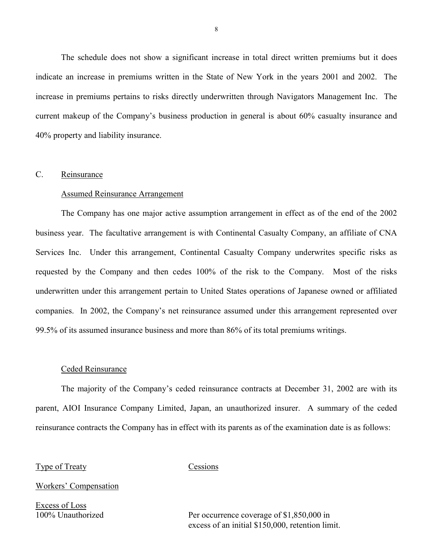<span id="page-9-0"></span>The schedule does not show a significant increase in total direct written premiums but it does indicate an increase in premiums written in the State of New York in the years 2001 and 2002. The increase in premiums pertains to risks directly underwritten through Navigators Management Inc. The current makeup of the Company's business production in general is about 60% casualty insurance and 40% property and liability insurance.

## C. Reinsurance

#### Assumed Reinsurance Arrangement

 requested by the Company and then cedes 100% of the risk to the Company. Most of the risks The Company has one major active assumption arrangement in effect as of the end of the 2002 business year. The facultative arrangement is with Continental Casualty Company, an affiliate of CNA Services Inc. Under this arrangement, Continental Casualty Company underwrites specific risks as underwritten under this arrangement pertain to United States operations of Japanese owned or affiliated companies. In 2002, the Company's net reinsurance assumed under this arrangement represented over 99.5% of its assumed insurance business and more than 86% of its total premiums writings.

#### Ceded Reinsurance

 The majority of the Company's ceded reinsurance contracts at December 31, 2002 are with its parent, AIOI Insurance Company Limited, Japan, an unauthorized insurer. A summary of the ceded reinsurance contracts the Company has in effect with its parents as of the examination date is as follows:

#### Type of Treaty Cessions

Workers' Compensation

Excess of Loss

100% Unauthorized Per occurrence coverage of \$1,850,000 in excess of an initial \$150,000, retention limit.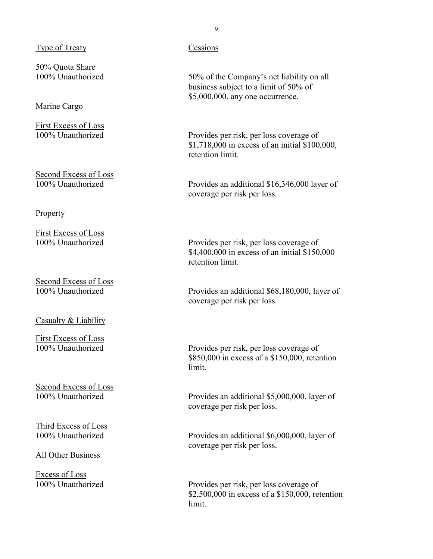## Type of Treaty Cessions

50% Quota Share

## Marine Cargo

First Excess of Loss

Second Excess of Loss

#### Property

First Excess of Loss<br>100% Unauthorized

Second Excess of Loss<br>100% Unauthorized

Casualty & Liability

First Excess of Loss

Second Excess of Loss

Third Excess of Loss

All Other Business

Excess of Loss

100% Unauthorized 50% of the Company's net liability on all business subject to a limit of 50% of \$5,000,000, any one occurrence.

100% Unauthorized Provides per risk, per loss coverage of \$1,718,000 in excess of an initial \$100,000, retention limit.

100% Unauthorized Provides an additional \$16,346,000 layer of coverage per risk per loss.

> Provides per risk, per loss coverage of \$4,400,000 in excess of an initial \$150,000 retention limit.

Provides an additional \$68,180,000, layer of coverage per risk per loss.

100% Unauthorized Provides per risk, per loss coverage of \$850,000 in excess of a \$150,000, retention limit.

100% Unauthorized Provides an additional \$5,000,000, layer of coverage per risk per loss.

100% Unauthorized Provides an additional \$6,000,000, layer of coverage per risk per loss.

100% Unauthorized Provides per risk, per loss coverage of \$2,500,000 in excess of a \$150,000, retention limit.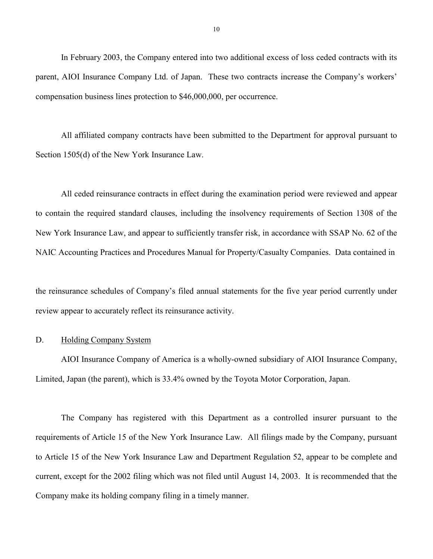<span id="page-11-0"></span>In February 2003, the Company entered into two additional excess of loss ceded contracts with its parent, AIOI Insurance Company Ltd. of Japan. These two contracts increase the Company's workers' compensation business lines protection to \$46,000,000, per occurrence.

All affiliated company contracts have been submitted to the Department for approval pursuant to Section 1505(d) of the New York Insurance Law.

All ceded reinsurance contracts in effect during the examination period were reviewed and appear to contain the required standard clauses, including the insolvency requirements of Section 1308 of the New York Insurance Law, and appear to sufficiently transfer risk, in accordance with SSAP No. 62 of the NAIC Accounting Practices and Procedures Manual for Property/Casualty Companies. Data contained in

the reinsurance schedules of Company's filed annual statements for the five year period currently under review appear to accurately reflect its reinsurance activity.

#### D. Holding Company System

AIOI Insurance Company of America is a wholly-owned subsidiary of AIOI Insurance Company, Limited, Japan (the parent), which is 33.4% owned by the Toyota Motor Corporation, Japan.

 The Company has registered with this Department as a controlled insurer pursuant to the requirements of Article 15 of the New York Insurance Law. All filings made by the Company, pursuant current, except for the 2002 filing which was not filed until August 14, 2003. It is recommended that the to Article 15 of the New York Insurance Law and Department Regulation 52, appear to be complete and Company make its holding company filing in a timely manner.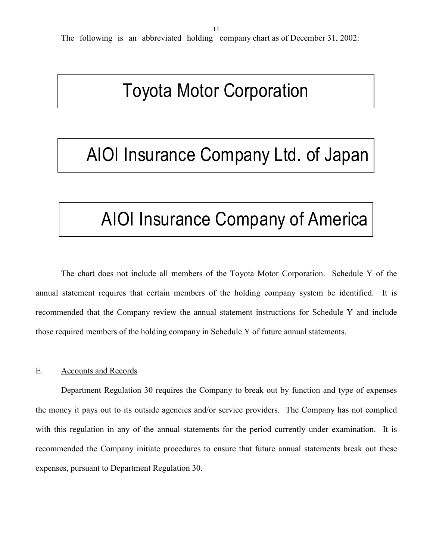11

<span id="page-12-0"></span>The following is an abbreviated holding company chart as of December 31, 2002:



The chart does not include all members of the Toyota Motor Corporation. Schedule Y of the annual statement requires that certain members of the holding company system be identified. It is recommended that the Company review the annual statement instructions for Schedule Y and include those required members of the holding company in Schedule Y of future annual statements.

## E. Accounts and Records

Department Regulation 30 requires the Company to break out by function and type of expenses the money it pays out to its outside agencies and/or service providers. The Company has not complied with this regulation in any of the annual statements for the period currently under examination. It is recommended the Company initiate procedures to ensure that future annual statements break out these expenses, pursuant to Department Regulation 30.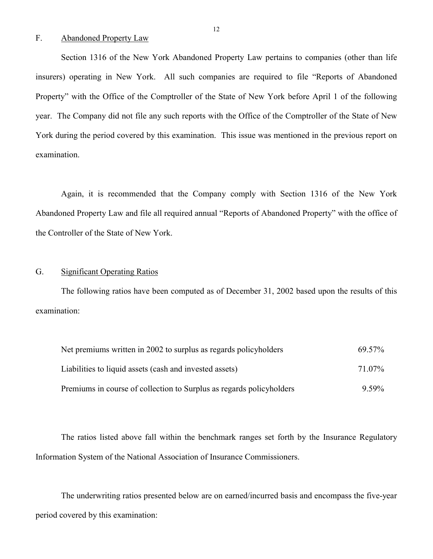#### F. Abandoned Property Law

Section 1316 of the New York Abandoned Property Law pertains to companies (other than life insurers) operating in New York. All such companies are required to file "Reports of Abandoned Property" with the Office of the Comptroller of the State of New York before April 1 of the following year. The Company did not file any such reports with the Office of the Comptroller of the State of New York during the period covered by this examination. This issue was mentioned in the previous report on examination.

 Again, it is recommended that the Company comply with Section 1316 of the New York Abandoned Property Law and file all required annual "Reports of Abandoned Property" with the office of the Controller of the State of New York.

## G. Significant Operating Ratios

The following ratios have been computed as of December 31, 2002 based upon the results of this examination:

| Net premiums written in 2002 to surplus as regards policyholders     | 69.57%   |
|----------------------------------------------------------------------|----------|
| Liabilities to liquid assets (cash and invested assets)              | 71 07%   |
| Premiums in course of collection to Surplus as regards policyholders | $9.59\%$ |

The ratios listed above fall within the benchmark ranges set forth by the Insurance Regulatory Information System of the National Association of Insurance Commissioners.

The underwriting ratios presented below are on earned/incurred basis and encompass the five-year period covered by this examination: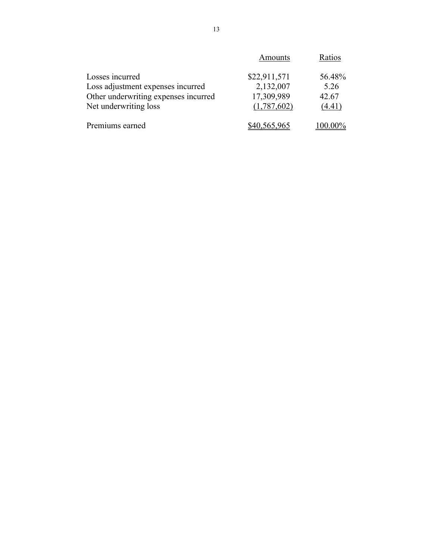|                                                               | Amounts                   | Ratios          |
|---------------------------------------------------------------|---------------------------|-----------------|
| Losses incurred                                               | \$22,911,571              | 56.48%          |
| Loss adjustment expenses incurred                             | 2,132,007                 | 5.26            |
| Other underwriting expenses incurred<br>Net underwriting loss | 17,309,989<br>(1,787,602) | 42.67<br>(4.41) |
|                                                               |                           |                 |
| Premiums earned                                               | \$40,565,965              | 100.00%         |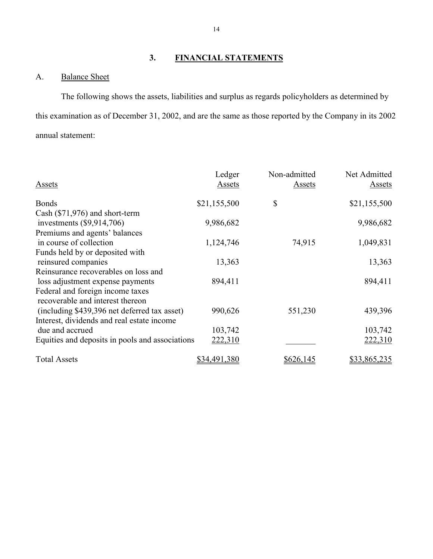## **3. FINANCIAL STATEMENTS**

<span id="page-15-0"></span>A. Balance Sheet

The following shows the assets, liabilities and surplus as regards policyholders as determined by this examination as of December 31, 2002, and are the same as those reported by the Company in its 2002 annual statement:

|                                                 | Ledger       | Non-admitted  | Net Admitted  |
|-------------------------------------------------|--------------|---------------|---------------|
| <b>Assets</b>                                   | Assets       | <b>Assets</b> | <b>Assets</b> |
| <b>Bonds</b>                                    | \$21,155,500 | \$            | \$21,155,500  |
| Cash $(\$71,976)$ and short-term                |              |               |               |
| investments $(\$9,914,706)$                     | 9,986,682    |               | 9,986,682     |
| Premiums and agents' balances                   |              |               |               |
| in course of collection                         | 1,124,746    | 74,915        | 1,049,831     |
| Funds held by or deposited with                 |              |               |               |
| reinsured companies                             | 13,363       |               | 13,363        |
| Reinsurance recoverables on loss and            |              |               |               |
| loss adjustment expense payments                | 894,411      |               | 894,411       |
| Federal and foreign income taxes                |              |               |               |
| recoverable and interest thereon                |              |               |               |
| (including \$439,396 net deferred tax asset)    | 990,626      | 551,230       | 439,396       |
| Interest, dividends and real estate income      |              |               |               |
| due and accrued                                 | 103,742      |               | 103,742       |
| Equities and deposits in pools and associations | 222,310      |               | 222,310       |
| <b>Total Assets</b>                             | \$34,491,380 | \$626,145     | \$33,865,235  |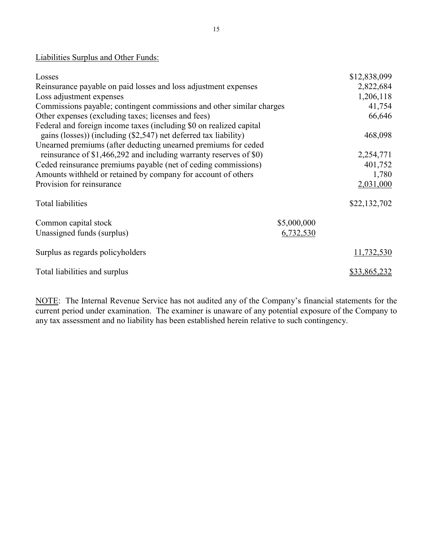## Liabilities Surplus and Other Funds:

| Losses                                                                |             | \$12,838,099 |
|-----------------------------------------------------------------------|-------------|--------------|
| Reinsurance payable on paid losses and loss adjustment expenses       |             | 2,822,684    |
| Loss adjustment expenses                                              |             | 1,206,118    |
| Commissions payable; contingent commissions and other similar charges |             | 41,754       |
| Other expenses (excluding taxes; licenses and fees)                   |             | 66,646       |
| Federal and foreign income taxes (including \$0 on realized capital   |             |              |
| gains (losses)) (including (\$2,547) net deferred tax liability)      |             | 468,098      |
| Unearned premiums (after deducting unearned premiums for ceded        |             |              |
| reinsurance of \$1,466,292 and including warranty reserves of \$0)    |             | 2,254,771    |
| Ceded reinsurance premiums payable (net of ceding commissions)        |             | 401,752      |
| Amounts withheld or retained by company for account of others         |             | 1,780        |
| Provision for reinsurance                                             |             | 2,031,000    |
| <b>Total liabilities</b>                                              |             | \$22,132,702 |
| Common capital stock                                                  | \$5,000,000 |              |
| Unassigned funds (surplus)                                            | 6,732,530   |              |
| Surplus as regards policyholders                                      |             | 11,732,530   |
| Total liabilities and surplus                                         |             | \$33,865,232 |

NOTE: The Internal Revenue Service has not audited any of the Company's financial statements for the current period under examination. The examiner is unaware of any potential exposure of the Company to any tax assessment and no liability has been established herein relative to such contingency.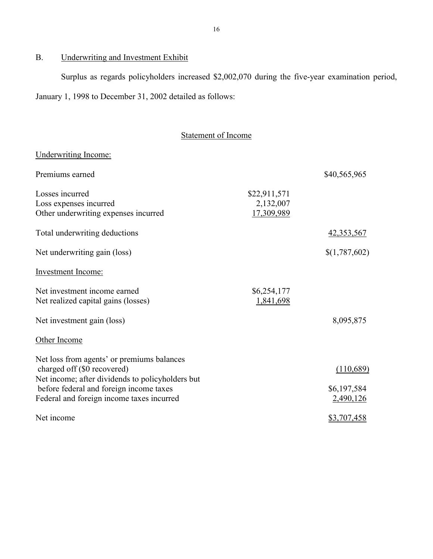## B. Underwriting and Investment Exhibit

Surplus as regards policyholders increased \$2,002,070 during the five-year examination period, January 1, 1998 to December 31, 2002 detailed as follows:

## Statement of Income

## Underwriting Income:

| Premiums earned                                                                                                                                                                                                       |                                         | \$40,565,965                          |
|-----------------------------------------------------------------------------------------------------------------------------------------------------------------------------------------------------------------------|-----------------------------------------|---------------------------------------|
| Losses incurred<br>Loss expenses incurred<br>Other underwriting expenses incurred                                                                                                                                     | \$22,911,571<br>2,132,007<br>17,309,989 |                                       |
| Total underwriting deductions                                                                                                                                                                                         |                                         | 42,353,567                            |
| Net underwriting gain (loss)                                                                                                                                                                                          |                                         | \$(1,787,602)                         |
| <b>Investment Income:</b>                                                                                                                                                                                             |                                         |                                       |
| Net investment income earned<br>Net realized capital gains (losses)                                                                                                                                                   | \$6,254,177<br>1,841,698                |                                       |
| Net investment gain (loss)                                                                                                                                                                                            |                                         | 8,095,875                             |
| Other Income                                                                                                                                                                                                          |                                         |                                       |
| Net loss from agents' or premiums balances<br>charged off (\$0 recovered)<br>Net income; after dividends to policyholders but<br>before federal and foreign income taxes<br>Federal and foreign income taxes incurred |                                         | (110,689)<br>\$6,197,584<br>2,490,126 |
| Net income                                                                                                                                                                                                            |                                         | \$3,707,458                           |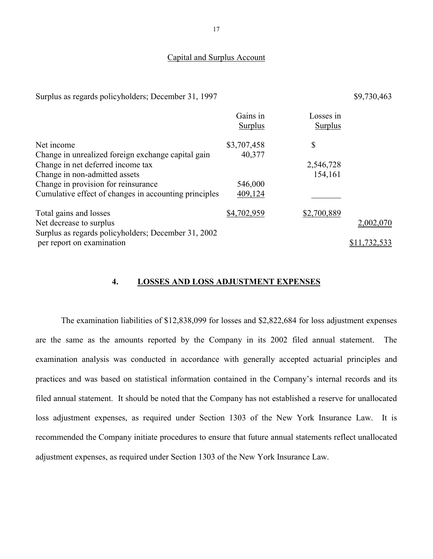#### Capital and Surplus Account

Surplus as regards policyholders; December 31, 1997 \$9,730,463

|                                                       | Gains in<br><b>Surplus</b> | Losses in<br><b>Surplus</b> |              |
|-------------------------------------------------------|----------------------------|-----------------------------|--------------|
| Net income                                            | \$3,707,458                | \$                          |              |
| Change in unrealized foreign exchange capital gain    | 40,377                     |                             |              |
| Change in net deferred income tax                     |                            | 2,546,728                   |              |
| Change in non-admitted assets                         |                            | 154,161                     |              |
| Change in provision for reinsurance                   | 546,000                    |                             |              |
| Cumulative effect of changes in accounting principles | 409,124                    |                             |              |
| Total gains and losses                                | \$4,702,959                | \$2,700,889                 |              |
| Net decrease to surplus                               |                            |                             | 2,002,070    |
| Surplus as regards policyholders; December 31, 2002   |                            |                             |              |
| per report on examination                             |                            |                             | \$11,732,533 |

#### **4. LOSSES AND LOSS ADJUSTMENT EXPENSES**

The examination liabilities of \$12,838,099 for losses and \$2,822,684 for loss adjustment expenses are the same as the amounts reported by the Company in its 2002 filed annual statement. The examination analysis was conducted in accordance with generally accepted actuarial principles and practices and was based on statistical information contained in the Company's internal records and its filed annual statement. It should be noted that the Company has not established a reserve for unallocated loss adjustment expenses, as required under Section 1303 of the New York Insurance Law. It is recommended the Company initiate procedures to ensure that future annual statements reflect unallocated adjustment expenses, as required under Section 1303 of the New York Insurance Law.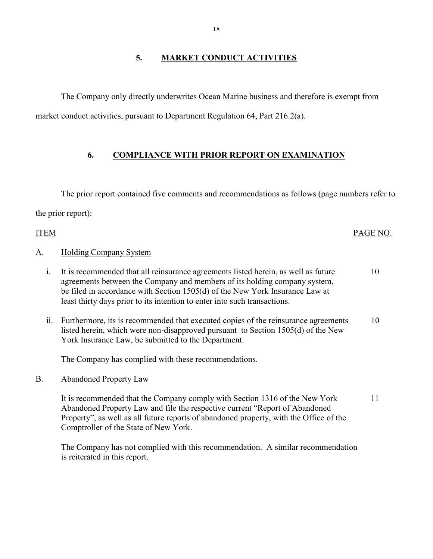The Company only directly underwrites Ocean Marine business and therefore is exempt from market conduct activities, pursuant to Department Regulation 64, Part 216.2(a).

## **6. COMPLIANCE WITH PRIOR REPORT ON EXAMINATION**

The prior report contained five comments and recommendations as follows (page numbers refer to the prior report):

# ITEM PAGE NO. A. Holding Company System i. It is recommended that all reinsurance agreements listed herein, as well as future agreements between the Company and members of its holding company system,

be filed in accordance with Section 1505(d) of the New York Insurance Law at least thirty days prior to its intention to enter into such transactions.

10

 York Insurance Law, be submitted to the Department. ii. Furthermore, its is recommended that executed copies of the reinsurance agreements listed herein, which were non-disapproved pursuant to Section 1505(d) of the New 10

The Company has complied with these recommendations.

B. Abandoned Property Law

It is recommended that the Company comply with Section 1316 of the New York Abandoned Property Law and file the respective current "Report of Abandoned Property", as well as all future reports of abandoned property, with the Office of the Comptroller of the State of New York. 11

The Company has not complied with this recommendation. A similar recommendation is reiterated in this report.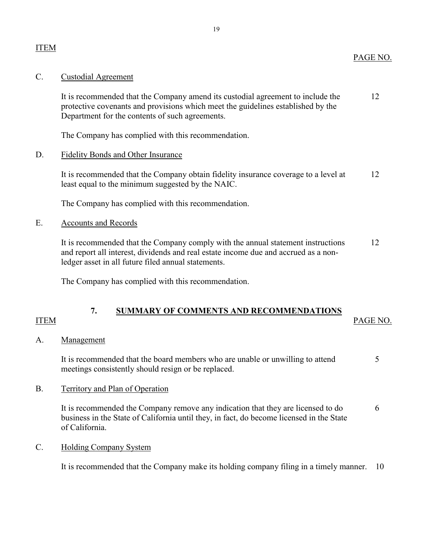<span id="page-20-0"></span>It is recommended that the Company amend its custodial agreement to include the 12 protective covenants and provisions which meet the guidelines established by the Department for the contents of such agreements.

The Company has complied with this recommendation.

## D. Fidelity Bonds and Other Insurance

It is recommended that the Company obtain fidelity insurance coverage to a level at 12 least equal to the minimum suggested by the NAIC.

The Company has complied with this recommendation.

## E. Accounts and Records

It is recommended that the Company comply with the annual statement instructions 12 and report all interest, dividends and real estate income due and accrued as a nonledger asset in all future filed annual statements.

The Company has complied with this recommendation.

## **7. SUMMARY OF COMMENTS AND RECOMMENDATIONS**

## ITEM PAGE NO.

## A. Management

It is recommended that the board members who are unable or unwilling to attend  $5$ meetings consistently should resign or be replaced.

B. Territory and Plan of Operation

It is recommended the Company remove any indication that they are licensed to do 6 business in the State of California until they, in fact, do become licensed in the State of California.

## C. Holding Company System

It is recommended that the Company make its holding company filing in a timely manner. 10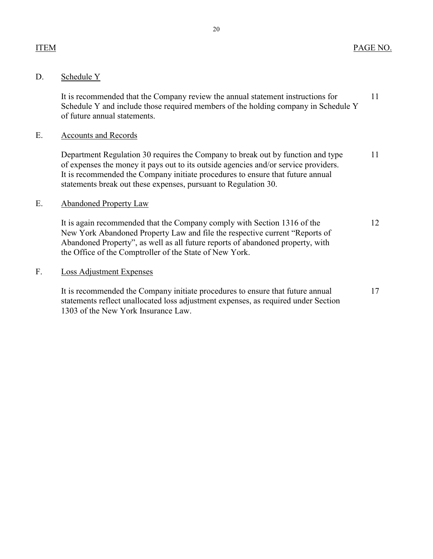## ITEM PAGE NO.

## D. Schedule Y

It is recommended that the Company review the annual statement instructions for 11 Schedule Y and include those required members of the holding company in Schedule Y of future annual statements.

## E. Accounts and Records

Department Regulation 30 requires the Company to break out by function and type 11 of expenses the money it pays out to its outside agencies and/or service providers. It is recommended the Company initiate procedures to ensure that future annual statements break out these expenses, pursuant to Regulation 30.

## E. Abandoned Property Law

It is again recommended that the Company comply with Section 1316 of the 12 New York Abandoned Property Law and file the respective current "Reports of Abandoned Property", as well as all future reports of abandoned property, with the Office of the Comptroller of the State of New York.

## F. Loss Adjustment Expenses

It is recommended the Company initiate procedures to ensure that future annual 17 statements reflect unallocated loss adjustment expenses, as required under Section 1303 of the New York Insurance Law.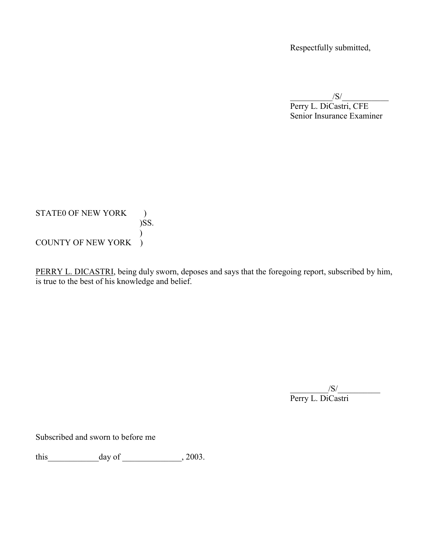Respectfully submitted,

 $/S/$ 

Perry L. DiCastri, CFE Senior Insurance Examiner

STATE0 OF NEW YORK ) )SS.  $\left\{ \right.$ ) COUNTY OF NEW YORK )

PERRY L. DICASTRI, being duly sworn, deposes and says that the foregoing report, subscribed by him, is true to the best of his knowledge and belief.

> $/S/$ Perry L. DiCastri

Subscribed and sworn to before me

this\_\_\_\_\_\_\_\_\_\_\_\_day of \_\_\_\_\_\_\_\_\_\_\_\_\_\_, 2003.